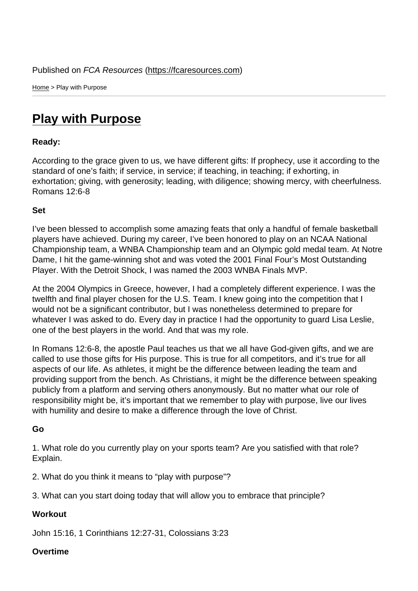Home > Play with Purpose

## [Pla](https://fcaresources.com/)y with Purpose

Ready:

[According to the grace given](https://fcaresources.com/devotional/play-purpose) to us, we have different gifts: If prophecy, use it according to the standard of one's faith; if service, in service; if teaching, in teaching; if exhorting, in exhortation; giving, with generosity; leading, with diligence; showing mercy, with cheerfulness. Romans 12:6-8

Set

I've been blessed to accomplish some amazing feats that only a handful of female basketball players have achieved. During my career, I've been honored to play on an NCAA National Championship team, a WNBA Championship team and an Olympic gold medal team. At Notre Dame, I hit the game-winning shot and was voted the 2001 Final Four's Most Outstanding Player. With the Detroit Shock, I was named the 2003 WNBA Finals MVP.

At the 2004 Olympics in Greece, however, I had a completely different experience. I was the twelfth and final player chosen for the U.S. Team. I knew going into the competition that I would not be a significant contributor, but I was nonetheless determined to prepare for whatever I was asked to do. Every day in practice I had the opportunity to guard Lisa Leslie, one of the best players in the world. And that was my role.

In Romans 12:6-8, the apostle Paul teaches us that we all have God-given gifts, and we are called to use those gifts for His purpose. This is true for all competitors, and it's true for all aspects of our life. As athletes, it might be the difference between leading the team and providing support from the bench. As Christians, it might be the difference between speaking publicly from a platform and serving others anonymously. But no matter what our role of responsibility might be, it's important that we remember to play with purpose, live our lives with humility and desire to make a difference through the love of Christ.

Go

1. What role do you currently play on your sports team? Are you satisfied with that role? Explain.

2. What do you think it means to "play with purpose"?

3. What can you start doing today that will allow you to embrace that principle?

**Workout** 

John 15:16, 1 Corinthians 12:27-31, Colossians 3:23

**Overtime**